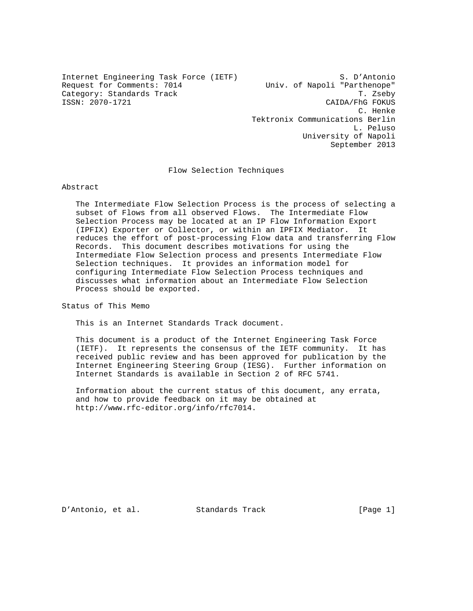Internet Engineering Task Force (IETF) S. D'Antonio Request for Comments: 7014 Univ. of Napoli "Parthenope"<br>Category: Standards Track The Univ. of Napoli "Parthenope" Category: Standards Track<br>ISSN: 2070-1721

CAIDA/FhG FOKUS C. Henke Tektronix Communications Berlin L. Peluso University of Napoli September 2013

Flow Selection Techniques

Abstract

 The Intermediate Flow Selection Process is the process of selecting a subset of Flows from all observed Flows. The Intermediate Flow Selection Process may be located at an IP Flow Information Export (IPFIX) Exporter or Collector, or within an IPFIX Mediator. It reduces the effort of post-processing Flow data and transferring Flow Records. This document describes motivations for using the Intermediate Flow Selection process and presents Intermediate Flow Selection techniques. It provides an information model for configuring Intermediate Flow Selection Process techniques and discusses what information about an Intermediate Flow Selection Process should be exported.

Status of This Memo

This is an Internet Standards Track document.

 This document is a product of the Internet Engineering Task Force (IETF). It represents the consensus of the IETF community. It has received public review and has been approved for publication by the Internet Engineering Steering Group (IESG). Further information on Internet Standards is available in Section 2 of RFC 5741.

 Information about the current status of this document, any errata, and how to provide feedback on it may be obtained at http://www.rfc-editor.org/info/rfc7014.

D'Antonio, et al. Standards Track [Page 1]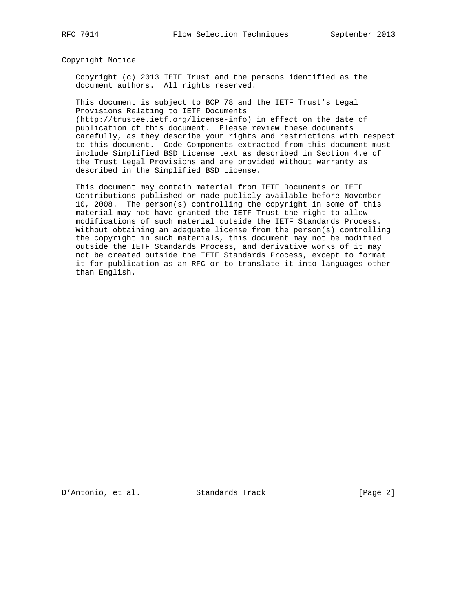Copyright Notice

 Copyright (c) 2013 IETF Trust and the persons identified as the document authors. All rights reserved.

 This document is subject to BCP 78 and the IETF Trust's Legal Provisions Relating to IETF Documents (http://trustee.ietf.org/license-info) in effect on the date of

 publication of this document. Please review these documents carefully, as they describe your rights and restrictions with respect to this document. Code Components extracted from this document must include Simplified BSD License text as described in Section 4.e of the Trust Legal Provisions and are provided without warranty as described in the Simplified BSD License.

 This document may contain material from IETF Documents or IETF Contributions published or made publicly available before November 10, 2008. The person(s) controlling the copyright in some of this material may not have granted the IETF Trust the right to allow modifications of such material outside the IETF Standards Process. Without obtaining an adequate license from the person(s) controlling the copyright in such materials, this document may not be modified outside the IETF Standards Process, and derivative works of it may not be created outside the IETF Standards Process, except to format it for publication as an RFC or to translate it into languages other than English.

D'Antonio, et al. Standards Track [Page 2]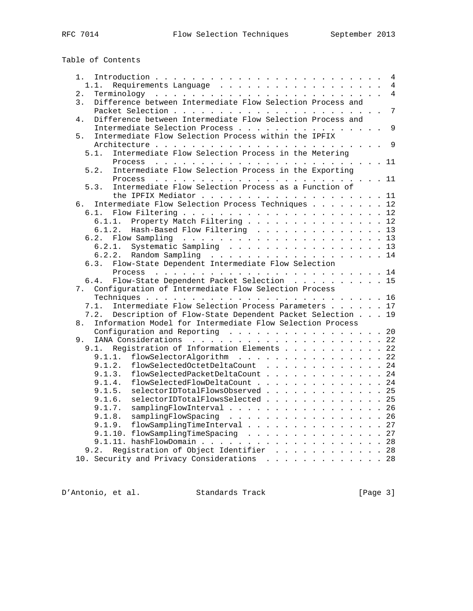Table of Contents

| 1.                                                               |  | $\overline{4}$ |
|------------------------------------------------------------------|--|----------------|
| 1.1.                                                             |  | $\overline{4}$ |
| 2.                                                               |  | $\overline{4}$ |
| Difference between Intermediate Flow Selection Process and<br>3. |  |                |
|                                                                  |  | $\overline{7}$ |
| Difference between Intermediate Flow Selection Process and<br>4. |  |                |
| Intermediate Selection Process 9                                 |  |                |
| Intermediate Flow Selection Process within the IPFIX<br>5.       |  |                |
|                                                                  |  |                |
| Intermediate Flow Selection Process in the Metering<br>5.1.      |  |                |
|                                                                  |  |                |
|                                                                  |  |                |
| Intermediate Flow Selection Process in the Exporting<br>5.2.     |  |                |
|                                                                  |  |                |
| Intermediate Flow Selection Process as a Function of<br>5.3.     |  |                |
|                                                                  |  |                |
| Intermediate Flow Selection Process Techniques 12<br>б.          |  |                |
| 6.1.                                                             |  |                |
| 6.1.1. Property Match Filtering 12                               |  |                |
| 6.1.2. Hash-Based Flow Filtering 13                              |  |                |
| 6.2.                                                             |  |                |
| Systematic Sampling 13<br>6.2.1.                                 |  |                |
| 6.2.2. Random Sampling 14                                        |  |                |
| Flow-State Dependent Intermediate Flow Selection                 |  |                |
| 6.3.                                                             |  |                |
|                                                                  |  |                |
| Flow-State Dependent Packet Selection 15<br>6.4.                 |  |                |
| Configuration of Intermediate Flow Selection Process<br>7.       |  |                |
|                                                                  |  |                |
| Intermediate Flow Selection Process Parameters 17<br>7.1.        |  |                |
| Description of Flow-State Dependent Packet Selection 19<br>7.2.  |  |                |
| Information Model for Intermediate Flow Selection Process<br>8.  |  |                |
| Configuration and Reporting 20                                   |  |                |
| 9.                                                               |  |                |
| Reqistration of Information Elements 22<br>9.1.                  |  |                |
| flowSelectorAlgorithm 22<br>9.1.1.                               |  |                |
| 9.1.2.<br>flowSelectedOctetDeltaCount 24                         |  |                |
| 9.1.3.                                                           |  |                |
| flowSelectedPacketDeltaCount 24                                  |  |                |
| flowSelectedFlowDeltaCount 24<br>9.1.4.                          |  |                |
| selectorIDTotalFlowsObserved 25<br>9.1.5.                        |  |                |
| 9.1.6.<br>selectorIDTotalFlowsSelected 25                        |  |                |
| samplingFlowInterval 26<br>9.1.7.                                |  |                |
| samplingFlowSpacing 26<br>9.1.8.                                 |  |                |
| 9.1.9. flowSamplingTimeInterval 27                               |  |                |
| 9.1.10. flowSamplingTimeSpacing 27                               |  |                |
|                                                                  |  |                |
| Registration of Object Identifier 28<br>9.2.                     |  |                |
| 10. Security and Privacy Considerations 28                       |  |                |
|                                                                  |  |                |

D'Antonio, et al. Standards Track [Page 3]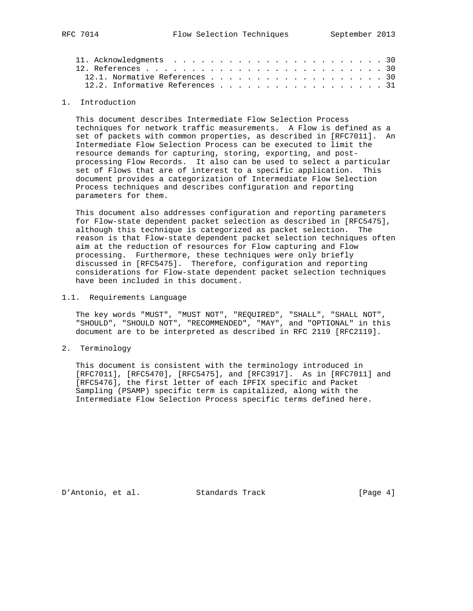| 12.1. Normative References 30   |  |  |  |  |  |  |  |  |  |  |
|---------------------------------|--|--|--|--|--|--|--|--|--|--|
| 12.2. Informative References 31 |  |  |  |  |  |  |  |  |  |  |

#### 1. Introduction

 This document describes Intermediate Flow Selection Process techniques for network traffic measurements. A Flow is defined as a set of packets with common properties, as described in [RFC7011]. An Intermediate Flow Selection Process can be executed to limit the resource demands for capturing, storing, exporting, and post processing Flow Records. It also can be used to select a particular set of Flows that are of interest to a specific application. This document provides a categorization of Intermediate Flow Selection Process techniques and describes configuration and reporting parameters for them.

 This document also addresses configuration and reporting parameters for Flow-state dependent packet selection as described in [RFC5475], although this technique is categorized as packet selection. The reason is that Flow-state dependent packet selection techniques often aim at the reduction of resources for Flow capturing and Flow processing. Furthermore, these techniques were only briefly discussed in [RFC5475]. Therefore, configuration and reporting considerations for Flow-state dependent packet selection techniques have been included in this document.

1.1. Requirements Language

 The key words "MUST", "MUST NOT", "REQUIRED", "SHALL", "SHALL NOT", "SHOULD", "SHOULD NOT", "RECOMMENDED", "MAY", and "OPTIONAL" in this document are to be interpreted as described in RFC 2119 [RFC2119].

2. Terminology

 This document is consistent with the terminology introduced in [RFC7011], [RFC5470], [RFC5475], and [RFC3917]. As in [RFC7011] and [RFC5476], the first letter of each IPFIX specific and Packet Sampling (PSAMP) specific term is capitalized, along with the Intermediate Flow Selection Process specific terms defined here.

D'Antonio, et al. Standards Track [Page 4]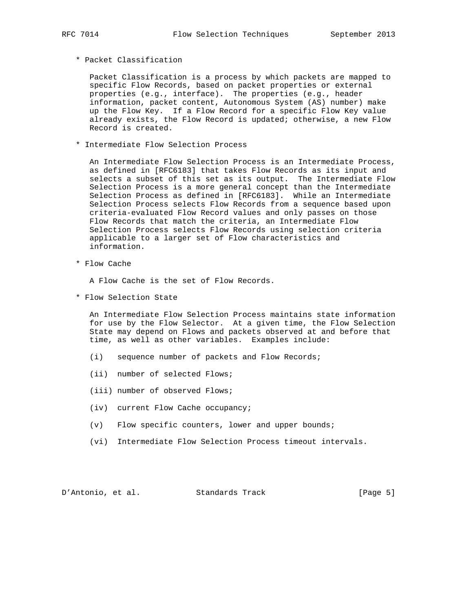\* Packet Classification

 Packet Classification is a process by which packets are mapped to specific Flow Records, based on packet properties or external properties (e.g., interface). The properties (e.g., header information, packet content, Autonomous System (AS) number) make up the Flow Key. If a Flow Record for a specific Flow Key value already exists, the Flow Record is updated; otherwise, a new Flow Record is created.

\* Intermediate Flow Selection Process

 An Intermediate Flow Selection Process is an Intermediate Process, as defined in [RFC6183] that takes Flow Records as its input and selects a subset of this set as its output. The Intermediate Flow Selection Process is a more general concept than the Intermediate Selection Process as defined in [RFC6183]. While an Intermediate Selection Process selects Flow Records from a sequence based upon criteria-evaluated Flow Record values and only passes on those Flow Records that match the criteria, an Intermediate Flow Selection Process selects Flow Records using selection criteria applicable to a larger set of Flow characteristics and information.

\* Flow Cache

A Flow Cache is the set of Flow Records.

\* Flow Selection State

 An Intermediate Flow Selection Process maintains state information for use by the Flow Selector. At a given time, the Flow Selection State may depend on Flows and packets observed at and before that time, as well as other variables. Examples include:

- (i) sequence number of packets and Flow Records;
- (ii) number of selected Flows;
- (iii) number of observed Flows;
- (iv) current Flow Cache occupancy;
- (v) Flow specific counters, lower and upper bounds;
- (vi) Intermediate Flow Selection Process timeout intervals.

D'Antonio, et al. Standards Track [Page 5]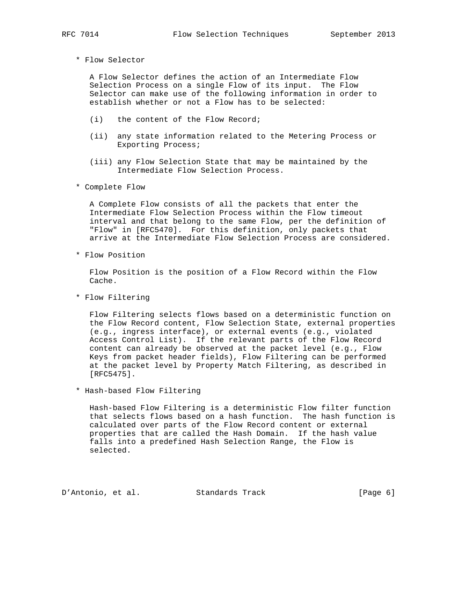\* Flow Selector

 A Flow Selector defines the action of an Intermediate Flow Selection Process on a single Flow of its input. The Flow Selector can make use of the following information in order to establish whether or not a Flow has to be selected:

- (i) the content of the Flow Record;
- (ii) any state information related to the Metering Process or Exporting Process;
- (iii) any Flow Selection State that may be maintained by the Intermediate Flow Selection Process.
- \* Complete Flow

 A Complete Flow consists of all the packets that enter the Intermediate Flow Selection Process within the Flow timeout interval and that belong to the same Flow, per the definition of "Flow" in [RFC5470]. For this definition, only packets that arrive at the Intermediate Flow Selection Process are considered.

\* Flow Position

 Flow Position is the position of a Flow Record within the Flow Cache.

\* Flow Filtering

 Flow Filtering selects flows based on a deterministic function on the Flow Record content, Flow Selection State, external properties (e.g., ingress interface), or external events (e.g., violated Access Control List). If the relevant parts of the Flow Record content can already be observed at the packet level (e.g., Flow Keys from packet header fields), Flow Filtering can be performed at the packet level by Property Match Filtering, as described in [RFC5475].

\* Hash-based Flow Filtering

 Hash-based Flow Filtering is a deterministic Flow filter function that selects flows based on a hash function. The hash function is calculated over parts of the Flow Record content or external properties that are called the Hash Domain. If the hash value falls into a predefined Hash Selection Range, the Flow is selected.

D'Antonio, et al. Standards Track [Page 6]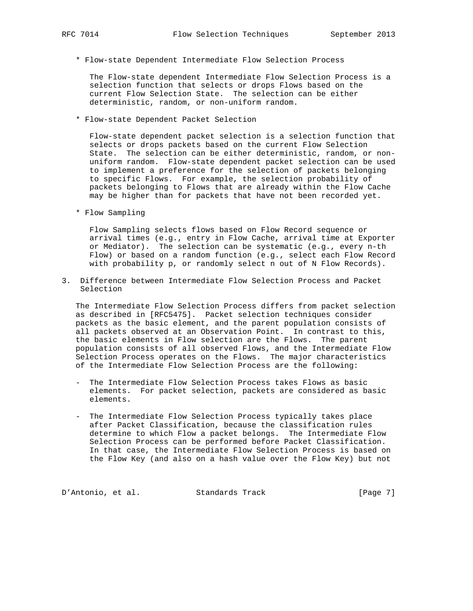- - \* Flow-state Dependent Intermediate Flow Selection Process

 The Flow-state dependent Intermediate Flow Selection Process is a selection function that selects or drops Flows based on the current Flow Selection State. The selection can be either deterministic, random, or non-uniform random.

\* Flow-state Dependent Packet Selection

 Flow-state dependent packet selection is a selection function that selects or drops packets based on the current Flow Selection State. The selection can be either deterministic, random, or non uniform random. Flow-state dependent packet selection can be used to implement a preference for the selection of packets belonging to specific Flows. For example, the selection probability of packets belonging to Flows that are already within the Flow Cache may be higher than for packets that have not been recorded yet.

\* Flow Sampling

 Flow Sampling selects flows based on Flow Record sequence or arrival times (e.g., entry in Flow Cache, arrival time at Exporter or Mediator). The selection can be systematic (e.g., every n-th Flow) or based on a random function (e.g., select each Flow Record with probability p, or randomly select n out of N Flow Records).

3. Difference between Intermediate Flow Selection Process and Packet Selection

 The Intermediate Flow Selection Process differs from packet selection as described in [RFC5475]. Packet selection techniques consider packets as the basic element, and the parent population consists of all packets observed at an Observation Point. In contrast to this, the basic elements in Flow selection are the Flows. The parent population consists of all observed Flows, and the Intermediate Flow Selection Process operates on the Flows. The major characteristics of the Intermediate Flow Selection Process are the following:

- The Intermediate Flow Selection Process takes Flows as basic elements. For packet selection, packets are considered as basic elements.
- The Intermediate Flow Selection Process typically takes place after Packet Classification, because the classification rules determine to which Flow a packet belongs. The Intermediate Flow Selection Process can be performed before Packet Classification. In that case, the Intermediate Flow Selection Process is based on the Flow Key (and also on a hash value over the Flow Key) but not

D'Antonio, et al. Standards Track [Page 7]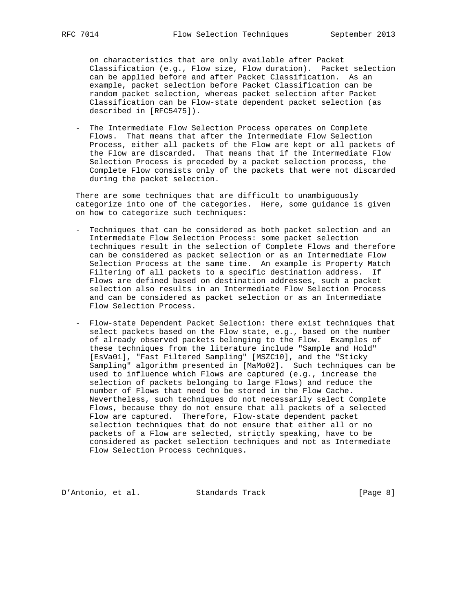on characteristics that are only available after Packet Classification (e.g., Flow size, Flow duration). Packet selection can be applied before and after Packet Classification. As an example, packet selection before Packet Classification can be random packet selection, whereas packet selection after Packet Classification can be Flow-state dependent packet selection (as described in [RFC5475]).

 - The Intermediate Flow Selection Process operates on Complete Flows. That means that after the Intermediate Flow Selection Process, either all packets of the Flow are kept or all packets of the Flow are discarded. That means that if the Intermediate Flow Selection Process is preceded by a packet selection process, the Complete Flow consists only of the packets that were not discarded during the packet selection.

 There are some techniques that are difficult to unambiguously categorize into one of the categories. Here, some guidance is given on how to categorize such techniques:

- Techniques that can be considered as both packet selection and an Intermediate Flow Selection Process: some packet selection techniques result in the selection of Complete Flows and therefore can be considered as packet selection or as an Intermediate Flow Selection Process at the same time. An example is Property Match Filtering of all packets to a specific destination address. If Flows are defined based on destination addresses, such a packet selection also results in an Intermediate Flow Selection Process and can be considered as packet selection or as an Intermediate Flow Selection Process.
- Flow-state Dependent Packet Selection: there exist techniques that select packets based on the Flow state, e.g., based on the number of already observed packets belonging to the Flow. Examples of these techniques from the literature include "Sample and Hold" [EsVa01], "Fast Filtered Sampling" [MSZC10], and the "Sticky Sampling" algorithm presented in [MaMo02]. Such techniques can be used to influence which Flows are captured (e.g., increase the selection of packets belonging to large Flows) and reduce the number of Flows that need to be stored in the Flow Cache. Nevertheless, such techniques do not necessarily select Complete Flows, because they do not ensure that all packets of a selected Flow are captured. Therefore, Flow-state dependent packet selection techniques that do not ensure that either all or no packets of a Flow are selected, strictly speaking, have to be considered as packet selection techniques and not as Intermediate Flow Selection Process techniques.

D'Antonio, et al. Standards Track [Page 8]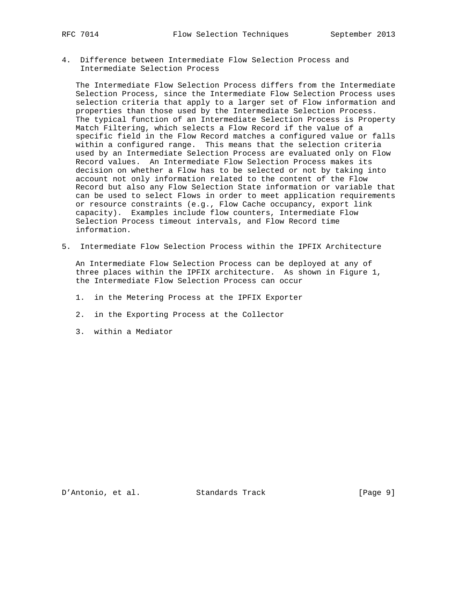4. Difference between Intermediate Flow Selection Process and Intermediate Selection Process

 The Intermediate Flow Selection Process differs from the Intermediate Selection Process, since the Intermediate Flow Selection Process uses selection criteria that apply to a larger set of Flow information and properties than those used by the Intermediate Selection Process. The typical function of an Intermediate Selection Process is Property Match Filtering, which selects a Flow Record if the value of a specific field in the Flow Record matches a configured value or falls within a configured range. This means that the selection criteria used by an Intermediate Selection Process are evaluated only on Flow Record values. An Intermediate Flow Selection Process makes its decision on whether a Flow has to be selected or not by taking into account not only information related to the content of the Flow Record but also any Flow Selection State information or variable that can be used to select Flows in order to meet application requirements or resource constraints (e.g., Flow Cache occupancy, export link capacity). Examples include flow counters, Intermediate Flow Selection Process timeout intervals, and Flow Record time information.

5. Intermediate Flow Selection Process within the IPFIX Architecture

 An Intermediate Flow Selection Process can be deployed at any of three places within the IPFIX architecture. As shown in Figure 1, the Intermediate Flow Selection Process can occur

- 1. in the Metering Process at the IPFIX Exporter
- 2. in the Exporting Process at the Collector
- 3. within a Mediator

D'Antonio, et al. Standards Track [Page 9]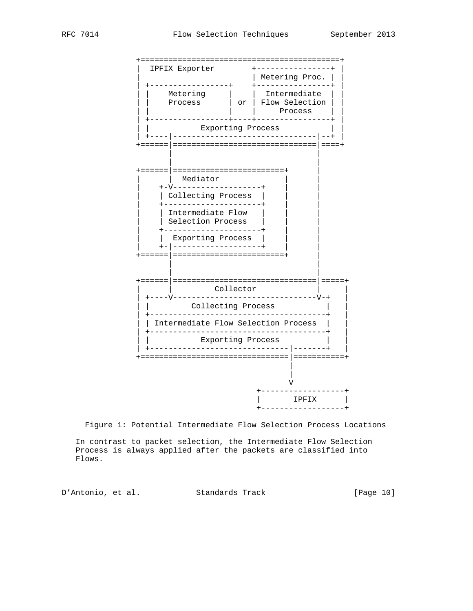

Figure 1: Potential Intermediate Flow Selection Process Locations

 In contrast to packet selection, the Intermediate Flow Selection Process is always applied after the packets are classified into Flows.

D'Antonio, et al. Standards Track [Page 10]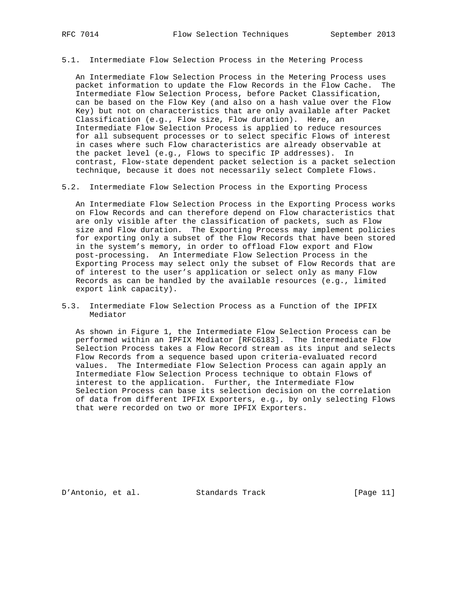### 5.1. Intermediate Flow Selection Process in the Metering Process

 An Intermediate Flow Selection Process in the Metering Process uses packet information to update the Flow Records in the Flow Cache. The Intermediate Flow Selection Process, before Packet Classification, can be based on the Flow Key (and also on a hash value over the Flow Key) but not on characteristics that are only available after Packet Classification (e.g., Flow size, Flow duration). Here, an Intermediate Flow Selection Process is applied to reduce resources for all subsequent processes or to select specific Flows of interest in cases where such Flow characteristics are already observable at the packet level (e.g., Flows to specific IP addresses). In contrast, Flow-state dependent packet selection is a packet selection technique, because it does not necessarily select Complete Flows.

5.2. Intermediate Flow Selection Process in the Exporting Process

 An Intermediate Flow Selection Process in the Exporting Process works on Flow Records and can therefore depend on Flow characteristics that are only visible after the classification of packets, such as Flow size and Flow duration. The Exporting Process may implement policies for exporting only a subset of the Flow Records that have been stored in the system's memory, in order to offload Flow export and Flow post-processing. An Intermediate Flow Selection Process in the Exporting Process may select only the subset of Flow Records that are of interest to the user's application or select only as many Flow Records as can be handled by the available resources (e.g., limited export link capacity).

5.3. Intermediate Flow Selection Process as a Function of the IPFIX Mediator

 As shown in Figure 1, the Intermediate Flow Selection Process can be performed within an IPFIX Mediator [RFC6183]. The Intermediate Flow Selection Process takes a Flow Record stream as its input and selects Flow Records from a sequence based upon criteria-evaluated record values. The Intermediate Flow Selection Process can again apply an Intermediate Flow Selection Process technique to obtain Flows of interest to the application. Further, the Intermediate Flow Selection Process can base its selection decision on the correlation of data from different IPFIX Exporters, e.g., by only selecting Flows that were recorded on two or more IPFIX Exporters.

D'Antonio, et al. Standards Track [Page 11]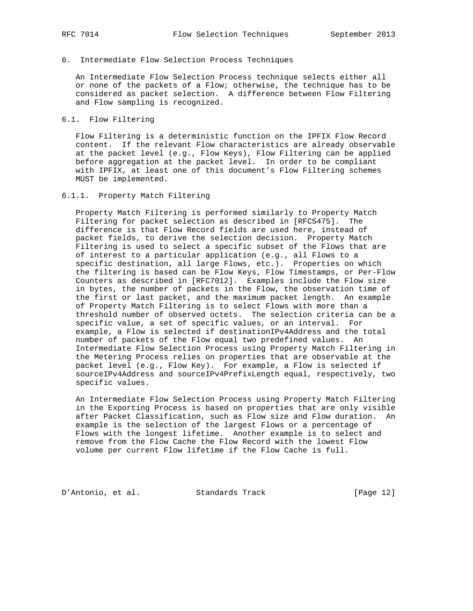## 6. Intermediate Flow Selection Process Techniques

 An Intermediate Flow Selection Process technique selects either all or none of the packets of a Flow; otherwise, the technique has to be considered as packet selection. A difference between Flow Filtering and Flow sampling is recognized.

## 6.1. Flow Filtering

 Flow Filtering is a deterministic function on the IPFIX Flow Record content. If the relevant Flow characteristics are already observable at the packet level (e.g., Flow Keys), Flow Filtering can be applied before aggregation at the packet level. In order to be compliant with IPFIX, at least one of this document's Flow Filtering schemes MUST be implemented.

## 6.1.1. Property Match Filtering

 Property Match Filtering is performed similarly to Property Match Filtering for packet selection as described in [RFC5475]. The difference is that Flow Record fields are used here, instead of packet fields, to derive the selection decision. Property Match Filtering is used to select a specific subset of the Flows that are of interest to a particular application (e.g., all Flows to a specific destination, all large Flows, etc.). Properties on which the filtering is based can be Flow Keys, Flow Timestamps, or Per-Flow Counters as described in [RFC7012]. Examples include the Flow size in bytes, the number of packets in the Flow, the observation time of the first or last packet, and the maximum packet length. An example of Property Match Filtering is to select Flows with more than a threshold number of observed octets. The selection criteria can be a specific value, a set of specific values, or an interval. For example, a Flow is selected if destinationIPv4Address and the total number of packets of the Flow equal two predefined values. An Intermediate Flow Selection Process using Property Match Filtering in the Metering Process relies on properties that are observable at the packet level (e.g., Flow Key). For example, a Flow is selected if sourceIPv4Address and sourceIPv4PrefixLength equal, respectively, two specific values.

 An Intermediate Flow Selection Process using Property Match Filtering in the Exporting Process is based on properties that are only visible after Packet Classification, such as Flow size and Flow duration. An example is the selection of the largest Flows or a percentage of Flows with the longest lifetime. Another example is to select and remove from the Flow Cache the Flow Record with the lowest Flow volume per current Flow lifetime if the Flow Cache is full.

D'Antonio, et al. Standards Track [Page 12]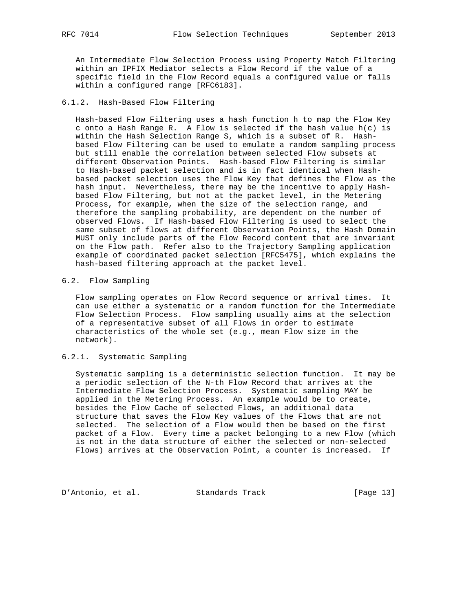An Intermediate Flow Selection Process using Property Match Filtering within an IPFIX Mediator selects a Flow Record if the value of a specific field in the Flow Record equals a configured value or falls within a configured range [RFC6183].

## 6.1.2. Hash-Based Flow Filtering

 Hash-based Flow Filtering uses a hash function h to map the Flow Key c onto a Hash Range R. A Flow is selected if the hash value h(c) is within the Hash Selection Range S, which is a subset of R. Hash based Flow Filtering can be used to emulate a random sampling process but still enable the correlation between selected Flow subsets at different Observation Points. Hash-based Flow Filtering is similar to Hash-based packet selection and is in fact identical when Hash based packet selection uses the Flow Key that defines the Flow as the hash input. Nevertheless, there may be the incentive to apply Hash based Flow Filtering, but not at the packet level, in the Metering Process, for example, when the size of the selection range, and therefore the sampling probability, are dependent on the number of observed Flows. If Hash-based Flow Filtering is used to select the same subset of flows at different Observation Points, the Hash Domain MUST only include parts of the Flow Record content that are invariant on the Flow path. Refer also to the Trajectory Sampling application example of coordinated packet selection [RFC5475], which explains the hash-based filtering approach at the packet level.

# 6.2. Flow Sampling

 Flow sampling operates on Flow Record sequence or arrival times. It can use either a systematic or a random function for the Intermediate Flow Selection Process. Flow sampling usually aims at the selection of a representative subset of all Flows in order to estimate characteristics of the whole set (e.g., mean Flow size in the network).

# 6.2.1. Systematic Sampling

 Systematic sampling is a deterministic selection function. It may be a periodic selection of the N-th Flow Record that arrives at the Intermediate Flow Selection Process. Systematic sampling MAY be applied in the Metering Process. An example would be to create, besides the Flow Cache of selected Flows, an additional data structure that saves the Flow Key values of the Flows that are not selected. The selection of a Flow would then be based on the first packet of a Flow. Every time a packet belonging to a new Flow (which is not in the data structure of either the selected or non-selected Flows) arrives at the Observation Point, a counter is increased. If

D'Antonio, et al. Standards Track [Page 13]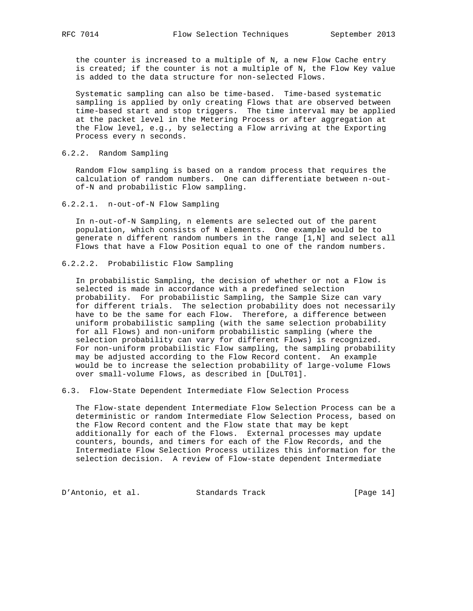the counter is increased to a multiple of N, a new Flow Cache entry is created; if the counter is not a multiple of N, the Flow Key value is added to the data structure for non-selected Flows.

 Systematic sampling can also be time-based. Time-based systematic sampling is applied by only creating Flows that are observed between time-based start and stop triggers. The time interval may be applied at the packet level in the Metering Process or after aggregation at the Flow level, e.g., by selecting a Flow arriving at the Exporting Process every n seconds.

## 6.2.2. Random Sampling

 Random Flow sampling is based on a random process that requires the calculation of random numbers. One can differentiate between n-out of-N and probabilistic Flow sampling.

6.2.2.1. n-out-of-N Flow Sampling

 In n-out-of-N Sampling, n elements are selected out of the parent population, which consists of N elements. One example would be to generate n different random numbers in the range [1,N] and select all Flows that have a Flow Position equal to one of the random numbers.

# 6.2.2.2. Probabilistic Flow Sampling

 In probabilistic Sampling, the decision of whether or not a Flow is selected is made in accordance with a predefined selection probability. For probabilistic Sampling, the Sample Size can vary for different trials. The selection probability does not necessarily have to be the same for each Flow. Therefore, a difference between uniform probabilistic sampling (with the same selection probability for all Flows) and non-uniform probabilistic sampling (where the selection probability can vary for different Flows) is recognized. For non-uniform probabilistic Flow sampling, the sampling probability may be adjusted according to the Flow Record content. An example would be to increase the selection probability of large-volume Flows over small-volume Flows, as described in [DuLT01].

6.3. Flow-State Dependent Intermediate Flow Selection Process

 The Flow-state dependent Intermediate Flow Selection Process can be a deterministic or random Intermediate Flow Selection Process, based on the Flow Record content and the Flow state that may be kept additionally for each of the Flows. External processes may update counters, bounds, and timers for each of the Flow Records, and the Intermediate Flow Selection Process utilizes this information for the selection decision. A review of Flow-state dependent Intermediate

D'Antonio, et al. Standards Track [Page 14]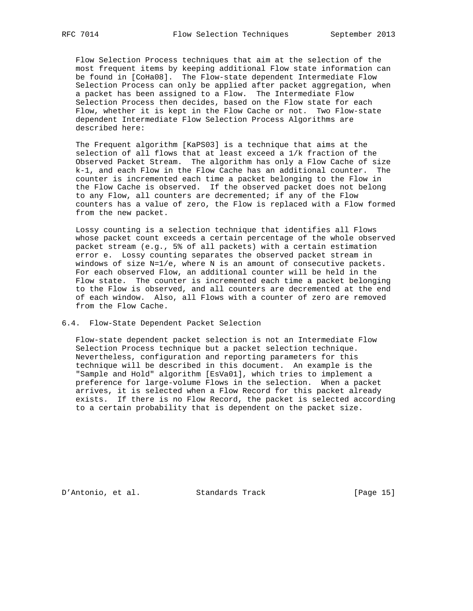Flow Selection Process techniques that aim at the selection of the most frequent items by keeping additional Flow state information can be found in [CoHa08]. The Flow-state dependent Intermediate Flow Selection Process can only be applied after packet aggregation, when a packet has been assigned to a Flow. The Intermediate Flow Selection Process then decides, based on the Flow state for each Flow, whether it is kept in the Flow Cache or not. Two Flow-state dependent Intermediate Flow Selection Process Algorithms are described here:

 The Frequent algorithm [KaPS03] is a technique that aims at the selection of all flows that at least exceed a 1/k fraction of the Observed Packet Stream. The algorithm has only a Flow Cache of size k-1, and each Flow in the Flow Cache has an additional counter. The counter is incremented each time a packet belonging to the Flow in the Flow Cache is observed. If the observed packet does not belong to any Flow, all counters are decremented; if any of the Flow counters has a value of zero, the Flow is replaced with a Flow formed from the new packet.

 Lossy counting is a selection technique that identifies all Flows whose packet count exceeds a certain percentage of the whole observed packet stream (e.g., 5% of all packets) with a certain estimation error e. Lossy counting separates the observed packet stream in windows of size N=1/e, where N is an amount of consecutive packets. For each observed Flow, an additional counter will be held in the Flow state. The counter is incremented each time a packet belonging to the Flow is observed, and all counters are decremented at the end of each window. Also, all Flows with a counter of zero are removed from the Flow Cache.

#### 6.4. Flow-State Dependent Packet Selection

 Flow-state dependent packet selection is not an Intermediate Flow Selection Process technique but a packet selection technique. Nevertheless, configuration and reporting parameters for this technique will be described in this document. An example is the "Sample and Hold" algorithm [EsVa01], which tries to implement a preference for large-volume Flows in the selection. When a packet arrives, it is selected when a Flow Record for this packet already exists. If there is no Flow Record, the packet is selected according to a certain probability that is dependent on the packet size.

D'Antonio, et al. Standards Track [Page 15]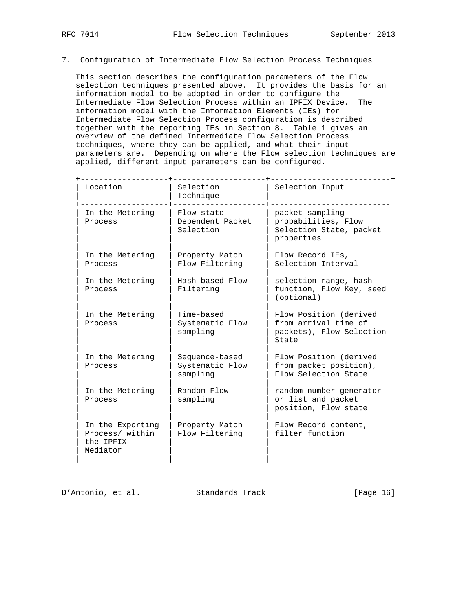# 7. Configuration of Intermediate Flow Selection Process Techniques

 This section describes the configuration parameters of the Flow selection techniques presented above. It provides the basis for an information model to be adopted in order to configure the Intermediate Flow Selection Process within an IPFIX Device. The information model with the Information Elements (IEs) for Intermediate Flow Selection Process configuration is described together with the reporting IEs in Section 8. Table 1 gives an overview of the defined Intermediate Flow Selection Process techniques, where they can be applied, and what their input parameters are. Depending on where the Flow selection techniques are applied, different input parameters can be configured.

| Location                                                     | Selection<br>Technique                        | Selection Input                                                                     |
|--------------------------------------------------------------|-----------------------------------------------|-------------------------------------------------------------------------------------|
| In the Metering<br>Process                                   | Flow-state<br>Dependent Packet<br>Selection   | packet sampling<br>probabilities, Flow<br>Selection State, packet<br>properties     |
| In the Metering<br>Process                                   | Property Match<br>Flow Filtering              | Flow Record IEs,<br>Selection Interval                                              |
| In the Metering<br>Process                                   | Hash-based Flow<br>Filtering                  | selection range, hash<br>function, Flow Key, seed<br>(optional)                     |
| In the Metering<br>Process                                   | Time-based<br>Systematic Flow<br>sampling     | Flow Position (derived<br>from arrival time of<br>packets), Flow Selection<br>State |
| In the Metering<br>Process                                   | Sequence-based<br>Systematic Flow<br>sampling | Flow Position (derived<br>from packet position),<br>Flow Selection State            |
| In the Metering<br>Process                                   | Random Flow<br>sampling                       | random number generator<br>or list and packet<br>position, Flow state               |
| In the Exporting<br>Process/ within<br>the IPFIX<br>Mediator | Property Match<br>Flow Filtering              | Flow Record content,<br>filter function                                             |
|                                                              |                                               |                                                                                     |

D'Antonio, et al. Standards Track [Page 16]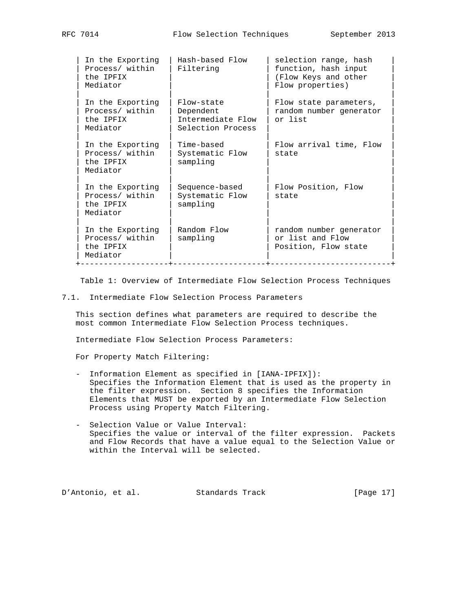| In the Exporting<br>Process/ within<br>the IPFIX<br>Mediator | Hash-based Flow<br>Filtering                                      | selection range, hash<br>function, hash input<br>(Flow Keys and other<br>Flow properties) |
|--------------------------------------------------------------|-------------------------------------------------------------------|-------------------------------------------------------------------------------------------|
| In the Exporting<br>Process/ within<br>the IPFIX<br>Mediator | Flow-state<br>Dependent<br>Intermediate Flow<br>Selection Process | Flow state parameters,<br>random number generator<br>or list                              |
| In the Exporting<br>Process/ within<br>the IPFIX<br>Mediator | Time-based<br>Systematic Flow<br>sampling                         | Flow arrival time, Flow<br>state                                                          |
| In the Exporting<br>Process/ within<br>the IPFIX<br>Mediator | Sequence-based<br>Systematic Flow<br>sampling                     | Flow Position, Flow<br>state                                                              |
| In the Exporting<br>Process/ within<br>the IPFIX<br>Mediator | Random Flow<br>sampling                                           | random number generator<br>or list and Flow<br>Position, Flow state                       |

Table 1: Overview of Intermediate Flow Selection Process Techniques

7.1. Intermediate Flow Selection Process Parameters

 This section defines what parameters are required to describe the most common Intermediate Flow Selection Process techniques.

Intermediate Flow Selection Process Parameters:

For Property Match Filtering:

- Information Element as specified in [IANA-IPFIX]): Specifies the Information Element that is used as the property in the filter expression. Section 8 specifies the Information Elements that MUST be exported by an Intermediate Flow Selection Process using Property Match Filtering.
- Selection Value or Value Interval: Specifies the value or interval of the filter expression. Packets and Flow Records that have a value equal to the Selection Value or within the Interval will be selected.

D'Antonio, et al. Standards Track [Page 17]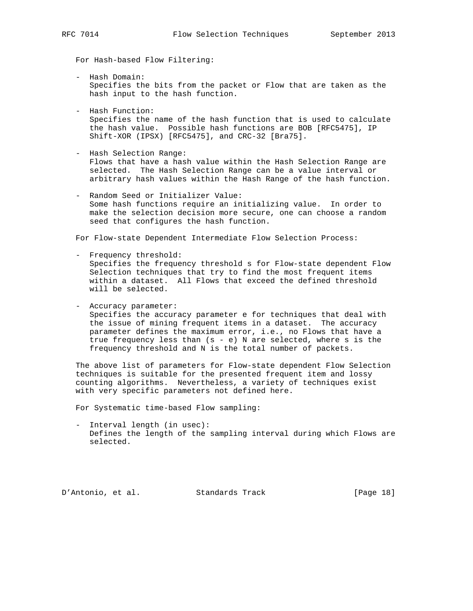For Hash-based Flow Filtering:

- Hash Domain: Specifies the bits from the packet or Flow that are taken as the hash input to the hash function.
- Hash Function: Specifies the name of the hash function that is used to calculate the hash value. Possible hash functions are BOB [RFC5475], IP Shift-XOR (IPSX) [RFC5475], and CRC-32 [Bra75].

 - Hash Selection Range: Flows that have a hash value within the Hash Selection Range are selected. The Hash Selection Range can be a value interval or arbitrary hash values within the Hash Range of the hash function.

 - Random Seed or Initializer Value: Some hash functions require an initializing value. In order to make the selection decision more secure, one can choose a random seed that configures the hash function.

For Flow-state Dependent Intermediate Flow Selection Process:

- Frequency threshold: Specifies the frequency threshold s for Flow-state dependent Flow Selection techniques that try to find the most frequent items within a dataset. All Flows that exceed the defined threshold will be selected.
- Accuracy parameter: Specifies the accuracy parameter e for techniques that deal with the issue of mining frequent items in a dataset. The accuracy parameter defines the maximum error, i.e., no Flows that have a true frequency less than  $(s - e)$  N are selected, where s is the frequency threshold and N is the total number of packets.

 The above list of parameters for Flow-state dependent Flow Selection techniques is suitable for the presented frequent item and lossy counting algorithms. Nevertheless, a variety of techniques exist with very specific parameters not defined here.

For Systematic time-based Flow sampling:

 - Interval length (in usec): Defines the length of the sampling interval during which Flows are selected.

D'Antonio, et al. Standards Track [Page 18]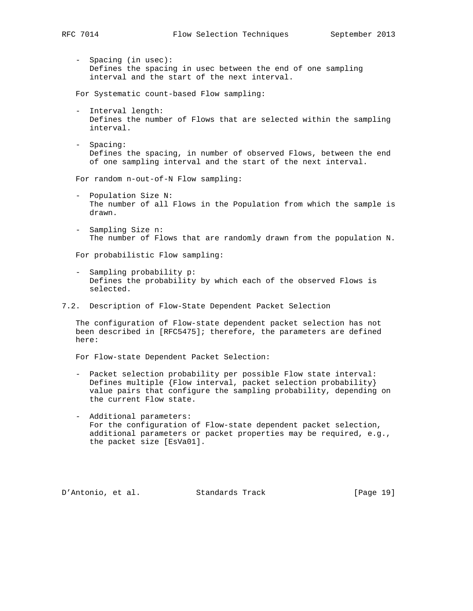- - Spacing (in usec): Defines the spacing in usec between the end of one sampling interval and the start of the next interval.

For Systematic count-based Flow sampling:

- Interval length: Defines the number of Flows that are selected within the sampling interval.
- Spacing: Defines the spacing, in number of observed Flows, between the end of one sampling interval and the start of the next interval.

For random n-out-of-N Flow sampling:

- Population Size N: The number of all Flows in the Population from which the sample is drawn.
- Sampling Size n: The number of Flows that are randomly drawn from the population N.

For probabilistic Flow sampling:

- Sampling probability p: Defines the probability by which each of the observed Flows is selected.
- 7.2. Description of Flow-State Dependent Packet Selection

 The configuration of Flow-state dependent packet selection has not been described in [RFC5475]; therefore, the parameters are defined here:

For Flow-state Dependent Packet Selection:

- Packet selection probability per possible Flow state interval: Defines multiple {Flow interval, packet selection probability} value pairs that configure the sampling probability, depending on the current Flow state.
- Additional parameters: For the configuration of Flow-state dependent packet selection, additional parameters or packet properties may be required, e.g., the packet size [EsVa01].

D'Antonio, et al. Standards Track [Page 19]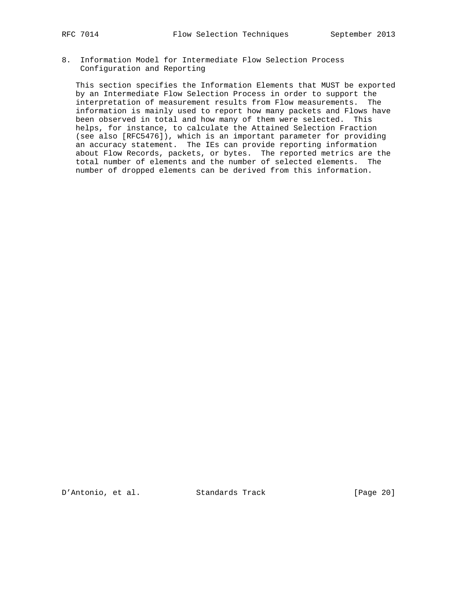8. Information Model for Intermediate Flow Selection Process Configuration and Reporting

 This section specifies the Information Elements that MUST be exported by an Intermediate Flow Selection Process in order to support the interpretation of measurement results from Flow measurements. The information is mainly used to report how many packets and Flows have been observed in total and how many of them were selected. This helps, for instance, to calculate the Attained Selection Fraction (see also [RFC5476]), which is an important parameter for providing an accuracy statement. The IEs can provide reporting information about Flow Records, packets, or bytes. The reported metrics are the total number of elements and the number of selected elements. The number of dropped elements can be derived from this information.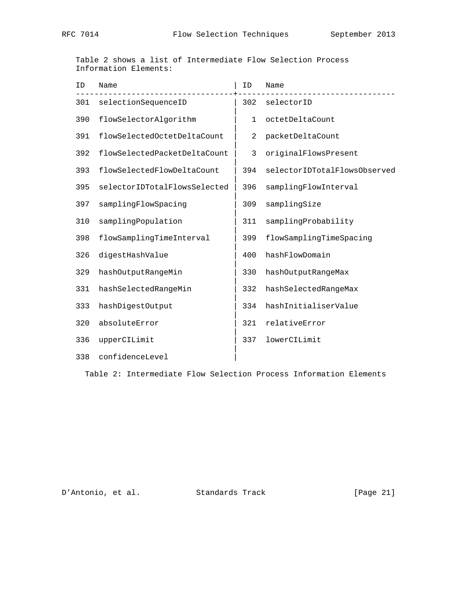Table 2 shows a list of Intermediate Flow Selection Process Information Elements:

| ID  | Name                         | ID           | Name                         |
|-----|------------------------------|--------------|------------------------------|
| 301 | selectionSequenceID          | 302          | selectorID                   |
| 390 | flowSelectorAlgorithm        | $\mathbf{1}$ | octetDeltaCount              |
| 391 | flowSelectedOctetDeltaCount  | 2            | packetDeltaCount             |
| 392 | flowSelectedPacketDeltaCount | 3            | originalFlowsPresent         |
| 393 | flowSelectedFlowDeltaCount   | 394          | selectorIDTotalFlowsObserved |
| 395 | selectorIDTotalFlowsSelected | 396          | samplingFlowInterval         |
| 397 | samplingFlowSpacing          | 309          | samplingSize                 |
| 310 | samplingPopulation           | 311          | samplingProbability          |
| 398 | flowSamplingTimeInterval     | 399          | flowSamplingTimeSpacing      |
| 326 | digestHashValue              | 400          | hashFlowDomain               |
| 329 | hashOutputRangeMin           | 330          | hashOutputRangeMax           |
| 331 | hashSelectedRangeMin         | 332          | hashSelectedRangeMax         |
| 333 | hashDigestOutput             | 334          | hashInitialiserValue         |
| 320 | absoluteError                | 321          | relativeError                |
| 336 | upperCILimit                 | 337          | lowerCILimit                 |
| 338 | confidenceLevel              |              |                              |

Table 2: Intermediate Flow Selection Process Information Elements

D'Antonio, et al. Standards Track [Page 21]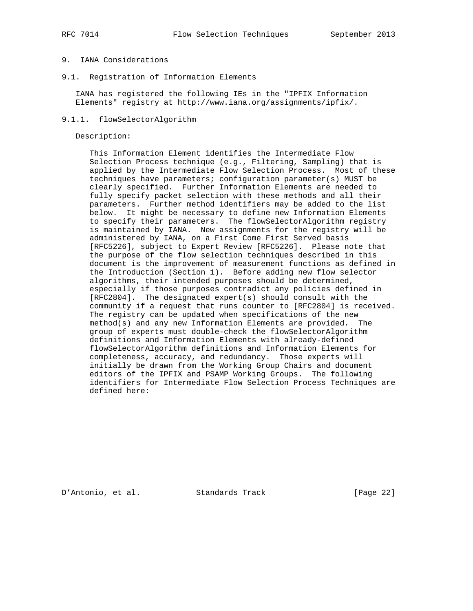# 9. IANA Considerations

9.1. Registration of Information Elements

 IANA has registered the following IEs in the "IPFIX Information Elements" registry at http://www.iana.org/assignments/ipfix/.

## 9.1.1. flowSelectorAlgorithm

Description:

 This Information Element identifies the Intermediate Flow Selection Process technique (e.g., Filtering, Sampling) that is applied by the Intermediate Flow Selection Process. Most of these techniques have parameters; configuration parameter(s) MUST be clearly specified. Further Information Elements are needed to fully specify packet selection with these methods and all their parameters. Further method identifiers may be added to the list below. It might be necessary to define new Information Elements to specify their parameters. The flowSelectorAlgorithm registry is maintained by IANA. New assignments for the registry will be administered by IANA, on a First Come First Served basis [RFC5226], subject to Expert Review [RFC5226]. Please note that the purpose of the flow selection techniques described in this document is the improvement of measurement functions as defined in the Introduction (Section 1). Before adding new flow selector algorithms, their intended purposes should be determined, especially if those purposes contradict any policies defined in [RFC2804]. The designated expert(s) should consult with the community if a request that runs counter to [RFC2804] is received. The registry can be updated when specifications of the new method(s) and any new Information Elements are provided. The group of experts must double-check the flowSelectorAlgorithm definitions and Information Elements with already-defined flowSelectorAlgorithm definitions and Information Elements for completeness, accuracy, and redundancy. Those experts will initially be drawn from the Working Group Chairs and document editors of the IPFIX and PSAMP Working Groups. The following identifiers for Intermediate Flow Selection Process Techniques are defined here:

D'Antonio, et al. Standards Track [Page 22]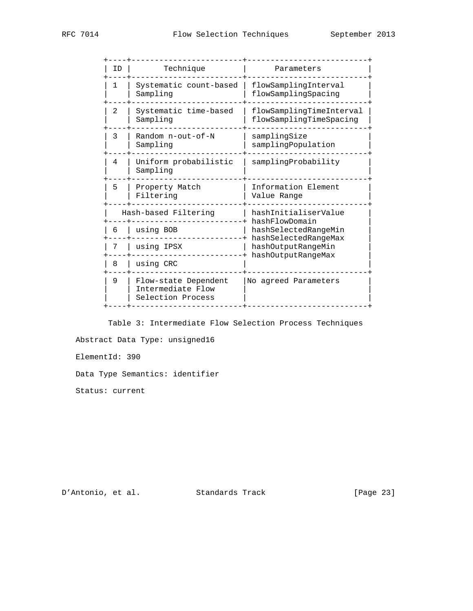| ΙD | Technique                                                      | Parameters                                          |
|----|----------------------------------------------------------------|-----------------------------------------------------|
| 1  | Systematic count-based<br>Sampling                             | flowSamplingInterval<br>flowSamplingSpacing         |
| 2  | Systematic time-based<br>Sampling                              | flowSamplingTimeInterval<br>flowSamplingTimeSpacing |
| 3  | Random $n$ -out-of-N<br>Sampling                               | samplingSize<br>samplingPopulation                  |
| 4  | Uniform probabilistic<br>Sampling                              | samplingProbability                                 |
| 5  | Property Match<br>Filtering                                    | Information Element<br>Value Range                  |
|    | Hash-based Filtering                                           | hashInitialiserValue<br>hashFlowDomain              |
| 6  | using BOB                                                      | hashSelectedRangeMin                                |
| 7  | using IPSX                                                     | hashSelectedRangeMax<br>hashOutputRangeMin          |
| 8  | using CRC                                                      | hashOutputRangeMax                                  |
| 9  | Flow-state Dependent<br>Intermediate Flow<br>Selection Process | No agreed Parameters                                |
|    |                                                                |                                                     |

 Table 3: Intermediate Flow Selection Process Techniques Abstract Data Type: unsigned16 ElementId: 390

Data Type Semantics: identifier

Status: current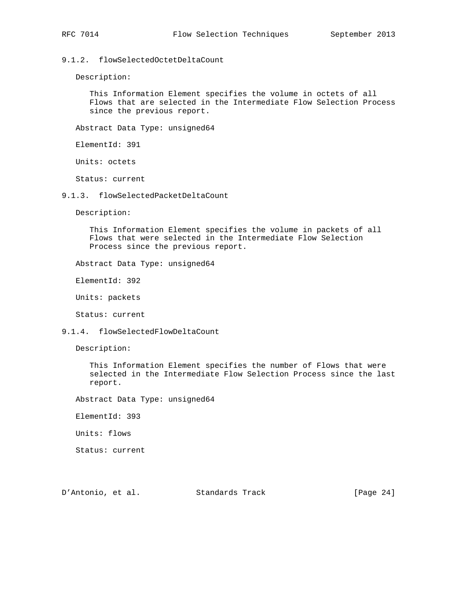9.1.2. flowSelectedOctetDeltaCount

Description:

 This Information Element specifies the volume in octets of all Flows that are selected in the Intermediate Flow Selection Process since the previous report.

Abstract Data Type: unsigned64

ElementId: 391

Units: octets

Status: current

9.1.3. flowSelectedPacketDeltaCount

Description:

 This Information Element specifies the volume in packets of all Flows that were selected in the Intermediate Flow Selection Process since the previous report.

Abstract Data Type: unsigned64

ElementId: 392

Units: packets

Status: current

9.1.4. flowSelectedFlowDeltaCount

Description:

 This Information Element specifies the number of Flows that were selected in the Intermediate Flow Selection Process since the last report.

Abstract Data Type: unsigned64

ElementId: 393

Units: flows

Status: current

D'Antonio, et al. Standards Track [Page 24]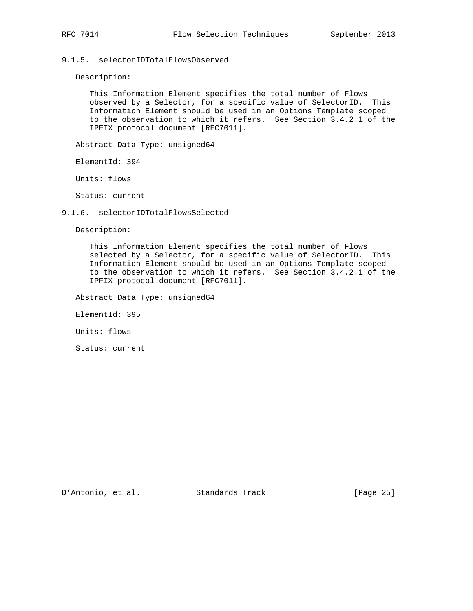# 9.1.5. selectorIDTotalFlowsObserved

Description:

 This Information Element specifies the total number of Flows observed by a Selector, for a specific value of SelectorID. This Information Element should be used in an Options Template scoped to the observation to which it refers. See Section 3.4.2.1 of the IPFIX protocol document [RFC7011].

Abstract Data Type: unsigned64

ElementId: 394

Units: flows

Status: current

#### 9.1.6. selectorIDTotalFlowsSelected

Description:

 This Information Element specifies the total number of Flows selected by a Selector, for a specific value of SelectorID. This Information Element should be used in an Options Template scoped to the observation to which it refers. See Section 3.4.2.1 of the IPFIX protocol document [RFC7011].

Abstract Data Type: unsigned64

ElementId: 395

Units: flows

Status: current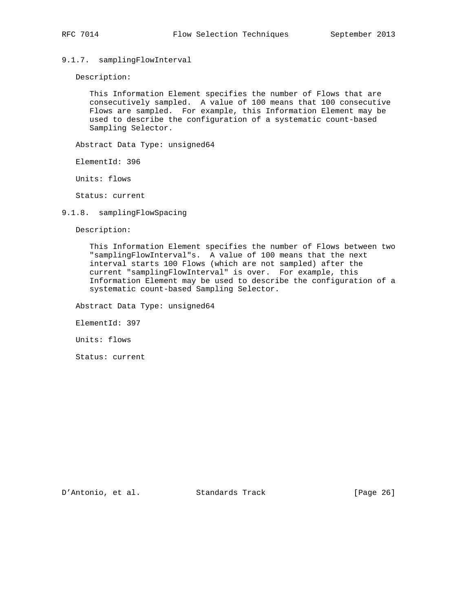# 9.1.7. samplingFlowInterval

Description:

 This Information Element specifies the number of Flows that are consecutively sampled. A value of 100 means that 100 consecutive Flows are sampled. For example, this Information Element may be used to describe the configuration of a systematic count-based Sampling Selector.

Abstract Data Type: unsigned64

ElementId: 396

Units: flows

Status: current

#### 9.1.8. samplingFlowSpacing

Description:

 This Information Element specifies the number of Flows between two "samplingFlowInterval"s. A value of 100 means that the next interval starts 100 Flows (which are not sampled) after the current "samplingFlowInterval" is over. For example, this Information Element may be used to describe the configuration of a systematic count-based Sampling Selector.

Abstract Data Type: unsigned64

ElementId: 397

Units: flows

Status: current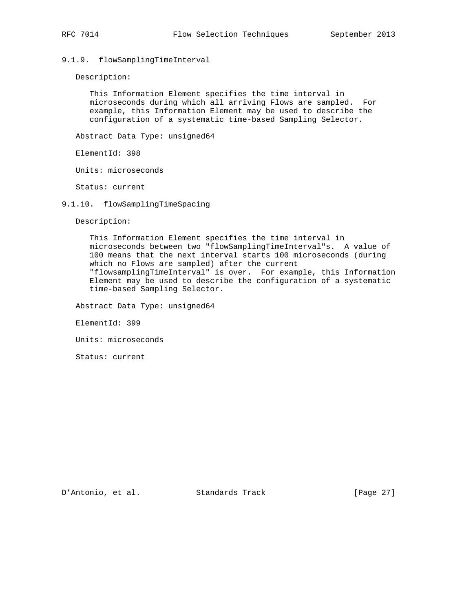# 9.1.9. flowSamplingTimeInterval

Description:

 This Information Element specifies the time interval in microseconds during which all arriving Flows are sampled. For example, this Information Element may be used to describe the configuration of a systematic time-based Sampling Selector.

Abstract Data Type: unsigned64

ElementId: 398

Units: microseconds

Status: current

9.1.10. flowSamplingTimeSpacing

Description:

 This Information Element specifies the time interval in microseconds between two "flowSamplingTimeInterval"s. A value of 100 means that the next interval starts 100 microseconds (during which no Flows are sampled) after the current "flowsamplingTimeInterval" is over. For example, this Information Element may be used to describe the configuration of a systematic time-based Sampling Selector.

Abstract Data Type: unsigned64

ElementId: 399

Units: microseconds

Status: current

D'Antonio, et al. Standards Track [Page 27]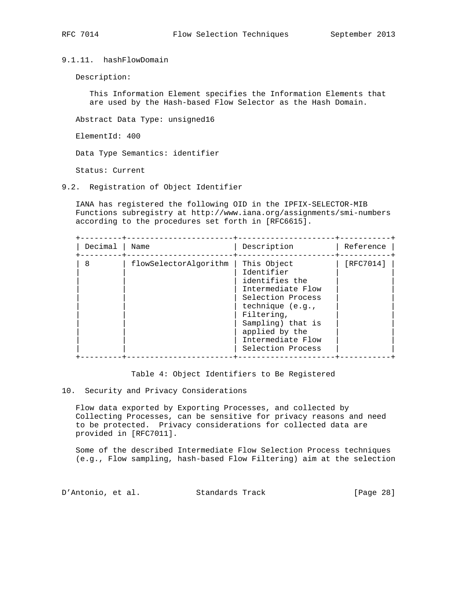9.1.11. hashFlowDomain

Description:

 This Information Element specifies the Information Elements that are used by the Hash-based Flow Selector as the Hash Domain.

Abstract Data Type: unsigned16

ElementId: 400

Data Type Semantics: identifier

Status: Current

9.2. Registration of Object Identifier

 IANA has registered the following OID in the IPFIX-SELECTOR-MIB Functions subregistry at http://www.iana.org/assignments/smi-numbers according to the procedures set forth in [RFC6615].

| Decimal | Name                  | Description                                                                                                                                                                                              | Reference |
|---------|-----------------------|----------------------------------------------------------------------------------------------------------------------------------------------------------------------------------------------------------|-----------|
| 8       | flowSelectorAlgorithm | This Object<br>Identifier<br>identifies the<br>Intermediate Flow<br>Selection Process<br>technique (e.g.,<br>Filtering,<br>Sampling) that is<br>applied by the<br>Intermediate Flow<br>Selection Process | [RFC7014] |

Table 4: Object Identifiers to Be Registered

#### 10. Security and Privacy Considerations

 Flow data exported by Exporting Processes, and collected by Collecting Processes, can be sensitive for privacy reasons and need to be protected. Privacy considerations for collected data are provided in [RFC7011].

 Some of the described Intermediate Flow Selection Process techniques (e.g., Flow sampling, hash-based Flow Filtering) aim at the selection

D'Antonio, et al. Standards Track [Page 28]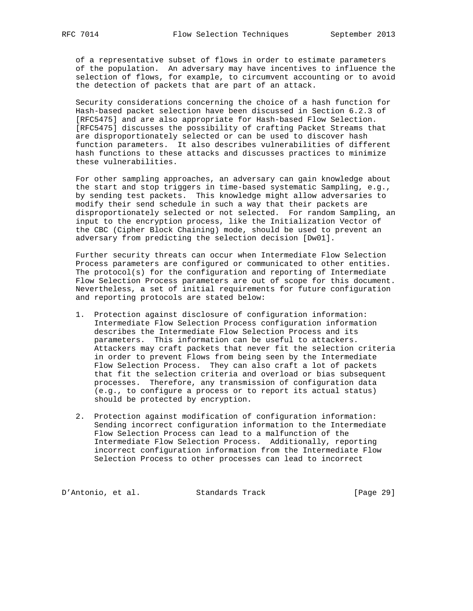of a representative subset of flows in order to estimate parameters of the population. An adversary may have incentives to influence the selection of flows, for example, to circumvent accounting or to avoid the detection of packets that are part of an attack.

 Security considerations concerning the choice of a hash function for Hash-based packet selection have been discussed in Section 6.2.3 of [RFC5475] and are also appropriate for Hash-based Flow Selection. [RFC5475] discusses the possibility of crafting Packet Streams that are disproportionately selected or can be used to discover hash function parameters. It also describes vulnerabilities of different hash functions to these attacks and discusses practices to minimize these vulnerabilities.

 For other sampling approaches, an adversary can gain knowledge about the start and stop triggers in time-based systematic Sampling, e.g., by sending test packets. This knowledge might allow adversaries to modify their send schedule in such a way that their packets are disproportionately selected or not selected. For random Sampling, an input to the encryption process, like the Initialization Vector of the CBC (Cipher Block Chaining) mode, should be used to prevent an adversary from predicting the selection decision [Dw01].

 Further security threats can occur when Intermediate Flow Selection Process parameters are configured or communicated to other entities. The protocol(s) for the configuration and reporting of Intermediate Flow Selection Process parameters are out of scope for this document. Nevertheless, a set of initial requirements for future configuration and reporting protocols are stated below:

- 1. Protection against disclosure of configuration information: Intermediate Flow Selection Process configuration information describes the Intermediate Flow Selection Process and its parameters. This information can be useful to attackers. Attackers may craft packets that never fit the selection criteria in order to prevent Flows from being seen by the Intermediate Flow Selection Process. They can also craft a lot of packets that fit the selection criteria and overload or bias subsequent processes. Therefore, any transmission of configuration data (e.g., to configure a process or to report its actual status) should be protected by encryption.
- 2. Protection against modification of configuration information: Sending incorrect configuration information to the Intermediate Flow Selection Process can lead to a malfunction of the Intermediate Flow Selection Process. Additionally, reporting incorrect configuration information from the Intermediate Flow Selection Process to other processes can lead to incorrect

D'Antonio, et al. Standards Track [Page 29]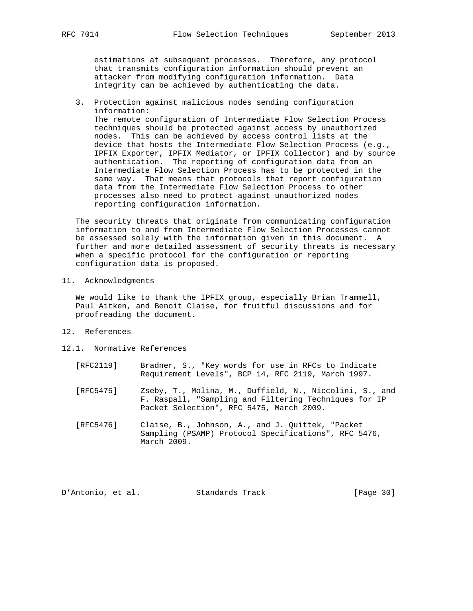estimations at subsequent processes. Therefore, any protocol that transmits configuration information should prevent an attacker from modifying configuration information. Data integrity can be achieved by authenticating the data.

 3. Protection against malicious nodes sending configuration information: The remote configuration of Intermediate Flow Selection Process techniques should be protected against access by unauthorized nodes. This can be achieved by access control lists at the device that hosts the Intermediate Flow Selection Process (e.g., IPFIX Exporter, IPFIX Mediator, or IPFIX Collector) and by source authentication. The reporting of configuration data from an Intermediate Flow Selection Process has to be protected in the same way. That means that protocols that report configuration data from the Intermediate Flow Selection Process to other processes also need to protect against unauthorized nodes reporting configuration information.

 The security threats that originate from communicating configuration information to and from Intermediate Flow Selection Processes cannot be assessed solely with the information given in this document. A further and more detailed assessment of security threats is necessary when a specific protocol for the configuration or reporting configuration data is proposed.

11. Acknowledgments

 We would like to thank the IPFIX group, especially Brian Trammell, Paul Aitken, and Benoit Claise, for fruitful discussions and for proofreading the document.

- 12. References
- 12.1. Normative References
	- [RFC2119] Bradner, S., "Key words for use in RFCs to Indicate Requirement Levels", BCP 14, RFC 2119, March 1997.
	- [RFC5475] Zseby, T., Molina, M., Duffield, N., Niccolini, S., and F. Raspall, "Sampling and Filtering Techniques for IP Packet Selection", RFC 5475, March 2009.
	- [RFC5476] Claise, B., Johnson, A., and J. Quittek, "Packet Sampling (PSAMP) Protocol Specifications", RFC 5476, March 2009.

D'Antonio, et al. Standards Track [Page 30]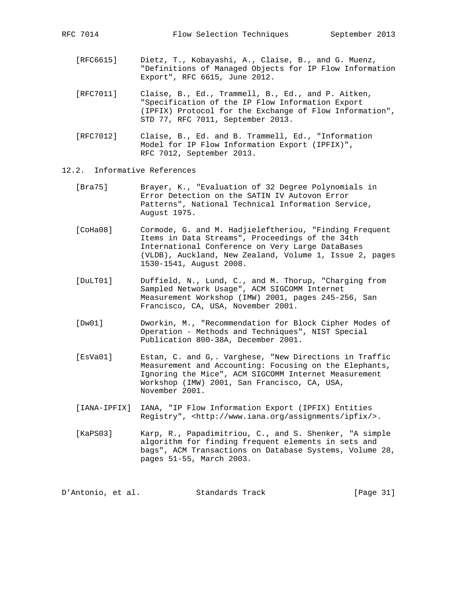- [RFC6615] Dietz, T., Kobayashi, A., Claise, B., and G. Muenz, "Definitions of Managed Objects for IP Flow Information Export", RFC 6615, June 2012.
- [RFC7011] Claise, B., Ed., Trammell, B., Ed., and P. Aitken, "Specification of the IP Flow Information Export (IPFIX) Protocol for the Exchange of Flow Information", STD 77, RFC 7011, September 2013.
- [RFC7012] Claise, B., Ed. and B. Trammell, Ed., "Information Model for IP Flow Information Export (IPFIX)", RFC 7012, September 2013.
- 12.2. Informative References
	- [Bra75] Brayer, K., "Evaluation of 32 Degree Polynomials in Error Detection on the SATIN IV Autovon Error Patterns", National Technical Information Service, August 1975.
	- [CoHa08] Cormode, G. and M. Hadjieleftheriou, "Finding Frequent Items in Data Streams", Proceedings of the 34th International Conference on Very Large DataBases (VLDB), Auckland, New Zealand, Volume 1, Issue 2, pages 1530-1541, August 2008.
	- [DuLT01] Duffield, N., Lund, C., and M. Thorup, "Charging from Sampled Network Usage", ACM SIGCOMM Internet Measurement Workshop (IMW) 2001, pages 245-256, San Francisco, CA, USA, November 2001.
	- [Dw01] Dworkin, M., "Recommendation for Block Cipher Modes of Operation - Methods and Techniques", NIST Special Publication 800-38A, December 2001.
	- [EsVa01] Estan, C. and G,. Varghese, "New Directions in Traffic Measurement and Accounting: Focusing on the Elephants, Ignoring the Mice", ACM SIGCOMM Internet Measurement Workshop (IMW) 2001, San Francisco, CA, USA, November 2001.
	- [IANA-IPFIX] IANA, "IP Flow Information Export (IPFIX) Entities Registry", <http://www.iana.org/assignments/ipfix/>.
	- [KaPS03] Karp, R., Papadimitriou, C., and S. Shenker, "A simple algorithm for finding frequent elements in sets and bags", ACM Transactions on Database Systems, Volume 28, pages 51-55, March 2003.

D'Antonio, et al. Standards Track [Page 31]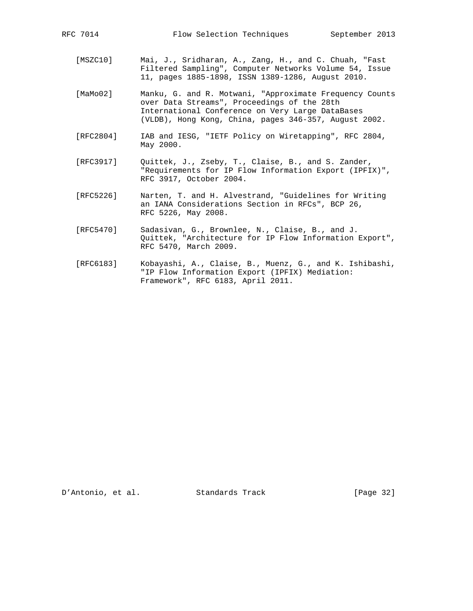- [MSZC10] Mai, J., Sridharan, A., Zang, H., and C. Chuah, "Fast Filtered Sampling", Computer Networks Volume 54, Issue 11, pages 1885-1898, ISSN 1389-1286, August 2010.
- [MaMo02] Manku, G. and R. Motwani, "Approximate Frequency Counts over Data Streams", Proceedings of the 28th International Conference on Very Large DataBases (VLDB), Hong Kong, China, pages 346-357, August 2002.
- [RFC2804] IAB and IESG, "IETF Policy on Wiretapping", RFC 2804, May 2000.
- [RFC3917] Quittek, J., Zseby, T., Claise, B., and S. Zander, "Requirements for IP Flow Information Export (IPFIX)", RFC 3917, October 2004.
- [RFC5226] Narten, T. and H. Alvestrand, "Guidelines for Writing an IANA Considerations Section in RFCs", BCP 26, RFC 5226, May 2008.
- [RFC5470] Sadasivan, G., Brownlee, N., Claise, B., and J. Quittek, "Architecture for IP Flow Information Export", RFC 5470, March 2009.
- [RFC6183] Kobayashi, A., Claise, B., Muenz, G., and K. Ishibashi, "IP Flow Information Export (IPFIX) Mediation: Framework", RFC 6183, April 2011.

D'Antonio, et al. Standards Track [Page 32]